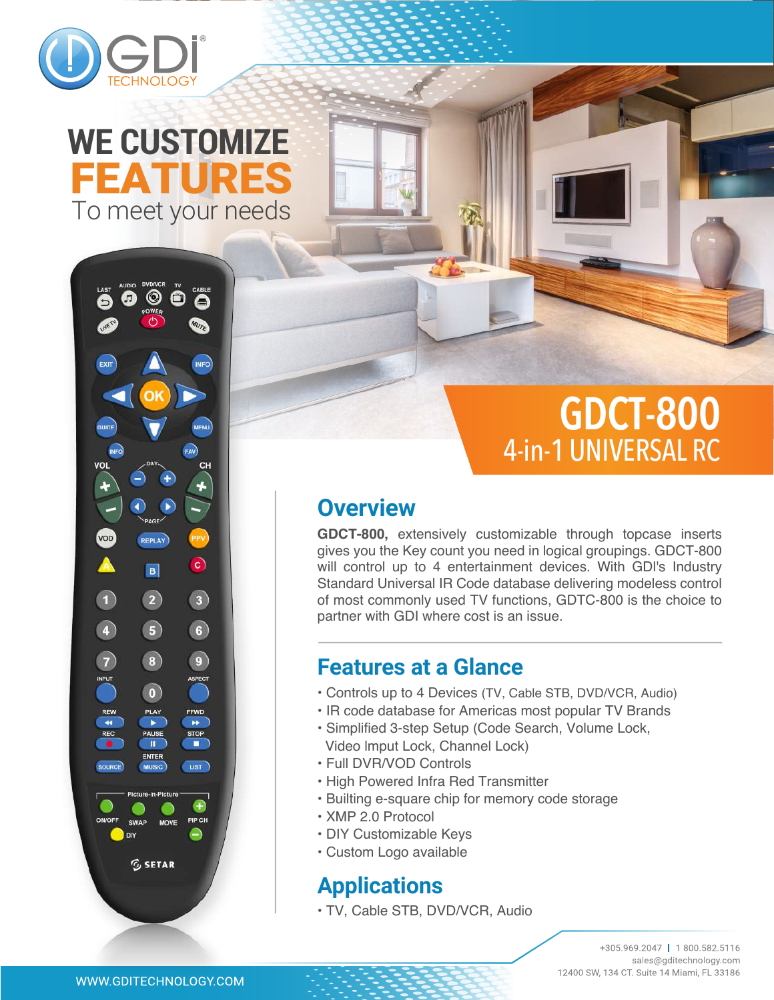

# To meet your needs FEATURES **WE CUSTOMIZE**



# **GDCT-800** 4-in-1 UNIVERSAL RC

### **Overview**

**GDCT-800,** extensively customizable through topcase inserts gives you the Key count you need in logical groupings. GDCT-800 will control up to 4 entertainment devices. With GDl's Industry Standard Universal IR Code database delivering modeless control of most commonly used TV functions, GDTC-800 is the choice to partner with GDI where cost is an issue.

### **Features at a Glance**

- Controls up to 4 Devices (TV, Cable STB, DVD/VCR, Audio)
- IR code database for Americas most popular TV Brands
- Simplified 3-step Setup (Code Search, Volume Lock, Video lmput Lock, Channel Lock)
- Full DVR/VOD Controls
- High Powered Infra Red Transmitter
- Builting e-square chip for memory code storage
- XMP 2.0 Protocol
- DIY Customizable Keys
- Custom Logo available

### **Applications**

• TV, Cable STB, DVD/VCR, Audio

+305.969.2047 | 1800.582.5116 sales@gditechnology.com 12400 SW, 134 CT. Suite 14 Miami, FL 33186